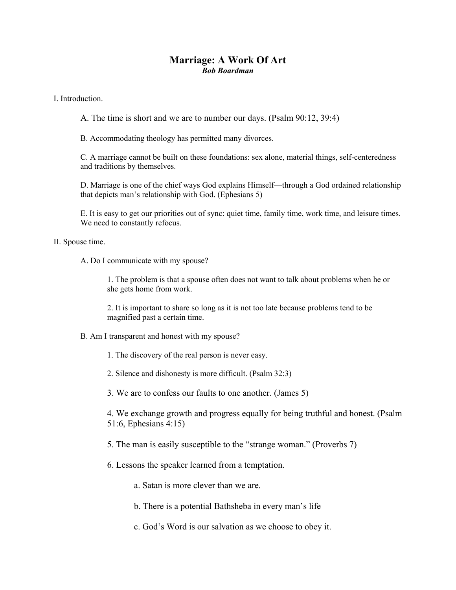## **Marriage: A Work Of Art**  *Bob Boardman*

I. Introduction.

A. The time is short and we are to number our days. (Psalm 90:12, 39:4)

B. Accommodating theology has permitted many divorces.

C. A marriage cannot be built on these foundations: sex alone, material things, self-centeredness and traditions by themselves.

D. Marriage is one of the chief ways God explains Himself—through a God ordained relationship that depicts man's relationship with God. (Ephesians 5)

E. It is easy to get our priorities out of sync: quiet time, family time, work time, and leisure times. We need to constantly refocus.

## II. Spouse time.

A. Do I communicate with my spouse?

1. The problem is that a spouse often does not want to talk about problems when he or she gets home from work.

2. It is important to share so long as it is not too late because problems tend to be magnified past a certain time.

- B. Am I transparent and honest with my spouse?
	- 1. The discovery of the real person is never easy.
	- 2. Silence and dishonesty is more difficult. (Psalm 32:3)

3. We are to confess our faults to one another. (James 5)

4. We exchange growth and progress equally for being truthful and honest. (Psalm 51:6, Ephesians 4:15)

- 5. The man is easily susceptible to the "strange woman." (Proverbs 7)
- 6. Lessons the speaker learned from a temptation.
	- a. Satan is more clever than we are.
	- b. There is a potential Bathsheba in every man's life
	- c. God's Word is our salvation as we choose to obey it.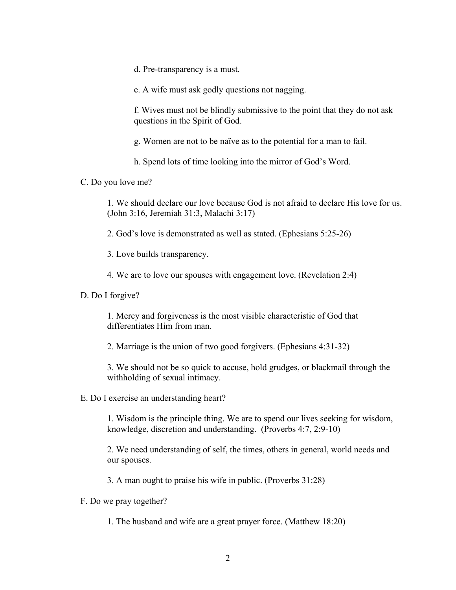d. Pre-transparency is a must.

e. A wife must ask godly questions not nagging.

f. Wives must not be blindly submissive to the point that they do not ask questions in the Spirit of God.

g. Women are not to be naïve as to the potential for a man to fail.

h. Spend lots of time looking into the mirror of God's Word.

C. Do you love me?

1. We should declare our love because God is not afraid to declare His love for us. (John 3:16, Jeremiah 31:3, Malachi 3:17)

2. God's love is demonstrated as well as stated. (Ephesians 5:25-26)

3. Love builds transparency.

4. We are to love our spouses with engagement love. (Revelation 2:4)

D. Do I forgive?

1. Mercy and forgiveness is the most visible characteristic of God that differentiates Him from man.

2. Marriage is the union of two good forgivers. (Ephesians 4:31-32)

3. We should not be so quick to accuse, hold grudges, or blackmail through the withholding of sexual intimacy.

E. Do I exercise an understanding heart?

1. Wisdom is the principle thing. We are to spend our lives seeking for wisdom, knowledge, discretion and understanding. (Proverbs 4:7, 2:9-10)

2. We need understanding of self, the times, others in general, world needs and our spouses.

3. A man ought to praise his wife in public. (Proverbs 31:28)

F. Do we pray together?

1. The husband and wife are a great prayer force. (Matthew 18:20)